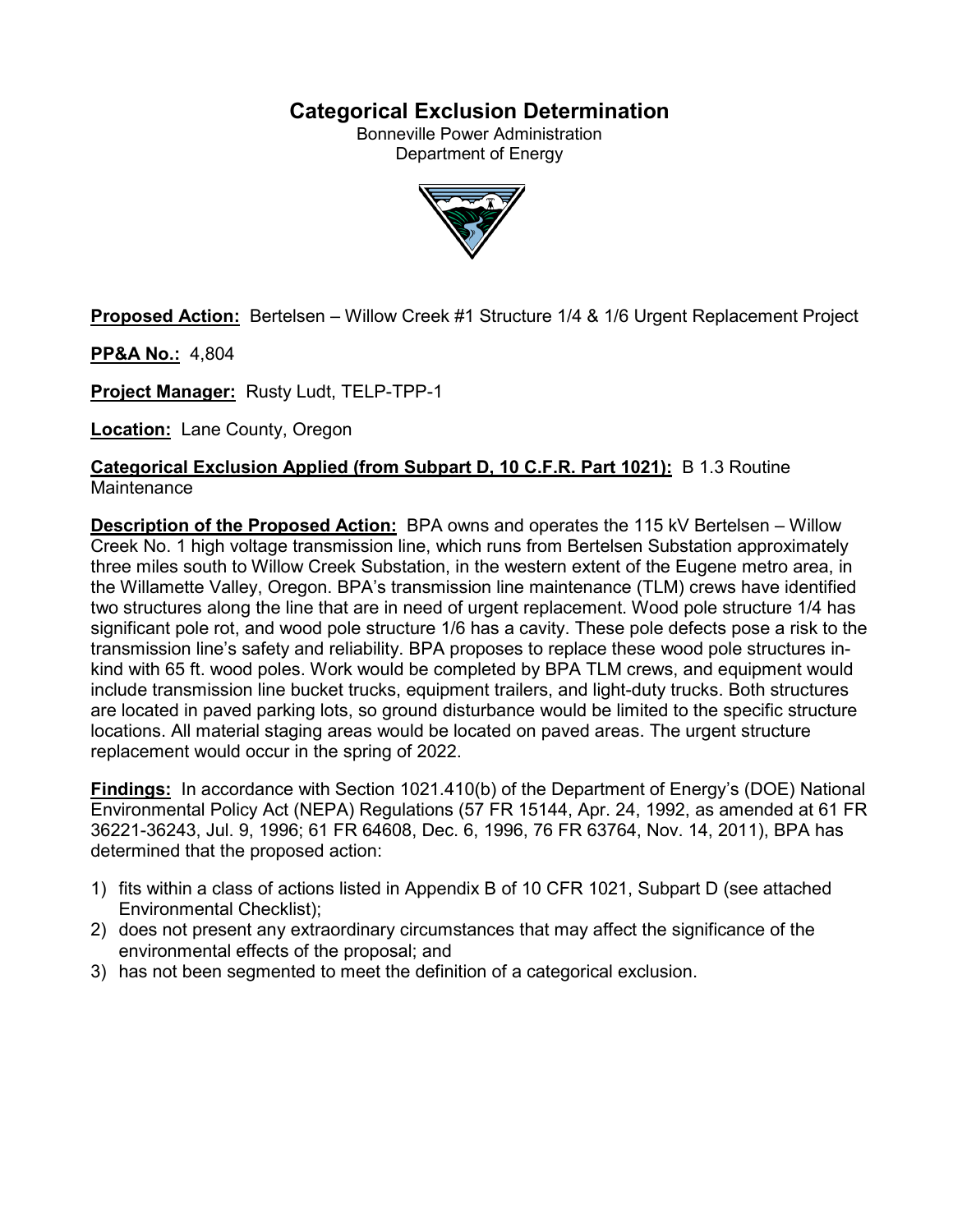# **Categorical Exclusion Determination**

Bonneville Power Administration Department of Energy



**Proposed Action:** Bertelsen – Willow Creek #1 Structure 1/4 & 1/6 Urgent Replacement Project

**PP&A No.:** 4,804

**Project Manager:** Rusty Ludt, TELP-TPP-1

**Location:** Lane County, Oregon

**Categorical Exclusion Applied (from Subpart D, 10 C.F.R. Part 1021):** B 1.3 Routine **Maintenance** 

**Description of the Proposed Action:** BPA owns and operates the 115 kV Bertelsen – Willow Creek No. 1 high voltage transmission line, which runs from Bertelsen Substation approximately three miles south to Willow Creek Substation, in the western extent of the Eugene metro area, in the Willamette Valley, Oregon. BPA's transmission line maintenance (TLM) crews have identified two structures along the line that are in need of urgent replacement. Wood pole structure 1/4 has significant pole rot, and wood pole structure 1/6 has a cavity. These pole defects pose a risk to the transmission line's safety and reliability. BPA proposes to replace these wood pole structures inkind with 65 ft. wood poles. Work would be completed by BPA TLM crews, and equipment would include transmission line bucket trucks, equipment trailers, and light-duty trucks. Both structures are located in paved parking lots, so ground disturbance would be limited to the specific structure locations. All material staging areas would be located on paved areas. The urgent structure replacement would occur in the spring of 2022.

**Findings:** In accordance with Section 1021.410(b) of the Department of Energy's (DOE) National Environmental Policy Act (NEPA) Regulations (57 FR 15144, Apr. 24, 1992, as amended at 61 FR 36221-36243, Jul. 9, 1996; 61 FR 64608, Dec. 6, 1996, 76 FR 63764, Nov. 14, 2011), BPA has determined that the proposed action:

- 1) fits within a class of actions listed in Appendix B of 10 CFR 1021, Subpart D (see attached Environmental Checklist);
- 2) does not present any extraordinary circumstances that may affect the significance of the environmental effects of the proposal; and
- 3) has not been segmented to meet the definition of a categorical exclusion.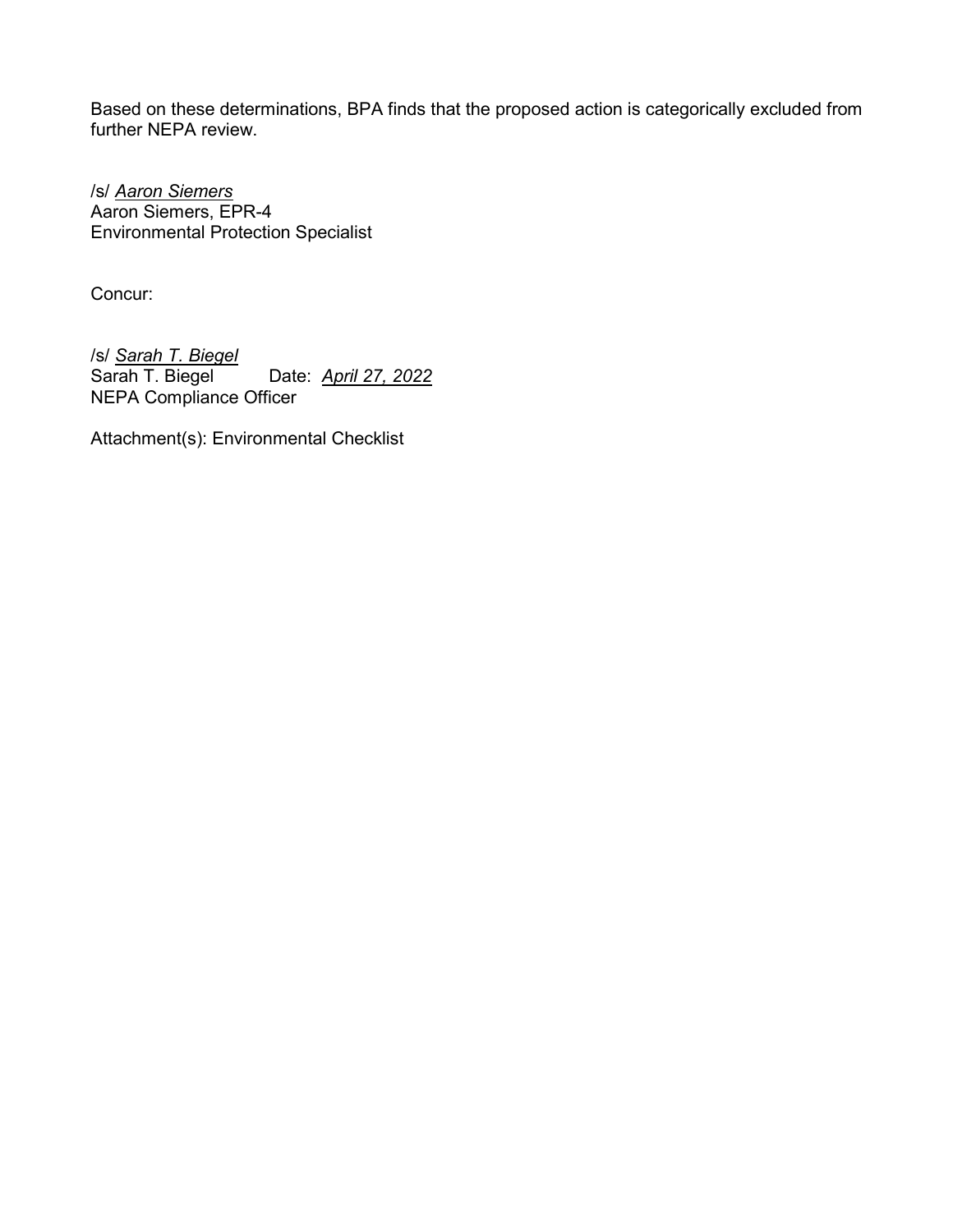Based on these determinations, BPA finds that the proposed action is categorically excluded from further NEPA review.

/s/ *Aaron Siemers* Aaron Siemers, EPR-4 Environmental Protection Specialist

Concur:

/s/ *Sarah T. Biegel* Date: **April 27, 2022** NEPA Compliance Officer

Attachment(s): Environmental Checklist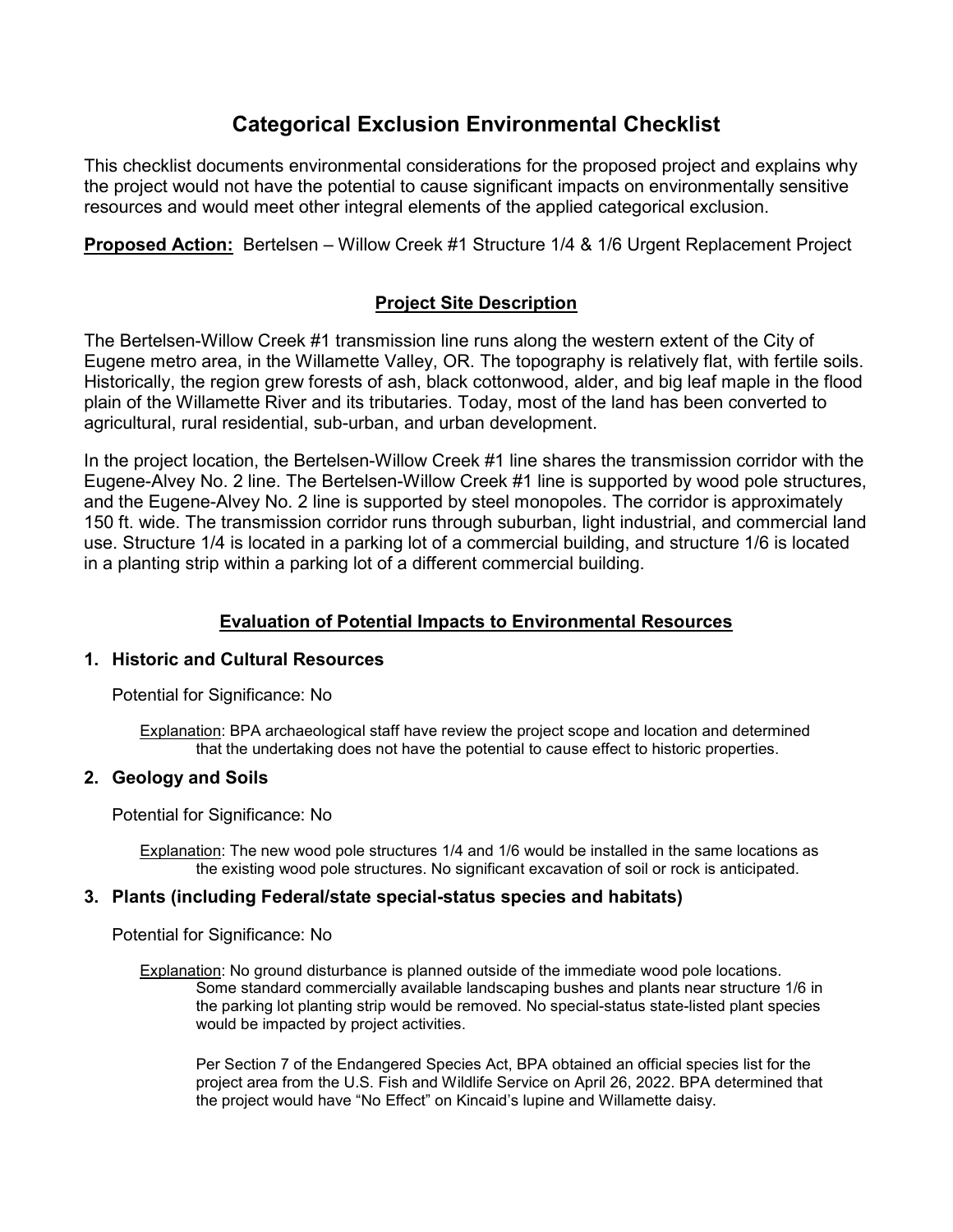# **Categorical Exclusion Environmental Checklist**

This checklist documents environmental considerations for the proposed project and explains why the project would not have the potential to cause significant impacts on environmentally sensitive resources and would meet other integral elements of the applied categorical exclusion.

**Proposed Action:** Bertelsen – Willow Creek #1 Structure 1/4 & 1/6 Urgent Replacement Project

# **Project Site Description**

The Bertelsen-Willow Creek #1 transmission line runs along the western extent of the City of Eugene metro area, in the Willamette Valley, OR. The topography is relatively flat, with fertile soils. Historically, the region grew forests of ash, black cottonwood, alder, and big leaf maple in the flood plain of the Willamette River and its tributaries. Today, most of the land has been converted to agricultural, rural residential, sub-urban, and urban development.

In the project location, the Bertelsen-Willow Creek #1 line shares the transmission corridor with the Eugene-Alvey No. 2 line. The Bertelsen-Willow Creek #1 line is supported by wood pole structures, and the Eugene-Alvey No. 2 line is supported by steel monopoles. The corridor is approximately 150 ft. wide. The transmission corridor runs through suburban, light industrial, and commercial land use. Structure 1/4 is located in a parking lot of a commercial building, and structure 1/6 is located in a planting strip within a parking lot of a different commercial building.

# **Evaluation of Potential Impacts to Environmental Resources**

## **1. Historic and Cultural Resources**

Potential for Significance: No

Explanation: BPA archaeological staff have review the project scope and location and determined that the undertaking does not have the potential to cause effect to historic properties.

## **2. Geology and Soils**

Potential for Significance: No

Explanation: The new wood pole structures 1/4 and 1/6 would be installed in the same locations as the existing wood pole structures. No significant excavation of soil or rock is anticipated.

#### **3. Plants (including Federal/state special-status species and habitats)**

Potential for Significance: No

Explanation: No ground disturbance is planned outside of the immediate wood pole locations. Some standard commercially available landscaping bushes and plants near structure 1/6 in the parking lot planting strip would be removed. No special-status state-listed plant species would be impacted by project activities.

Per Section 7 of the Endangered Species Act, BPA obtained an official species list for the project area from the U.S. Fish and Wildlife Service on April 26, 2022. BPA determined that the project would have "No Effect" on Kincaid's lupine and Willamette daisy.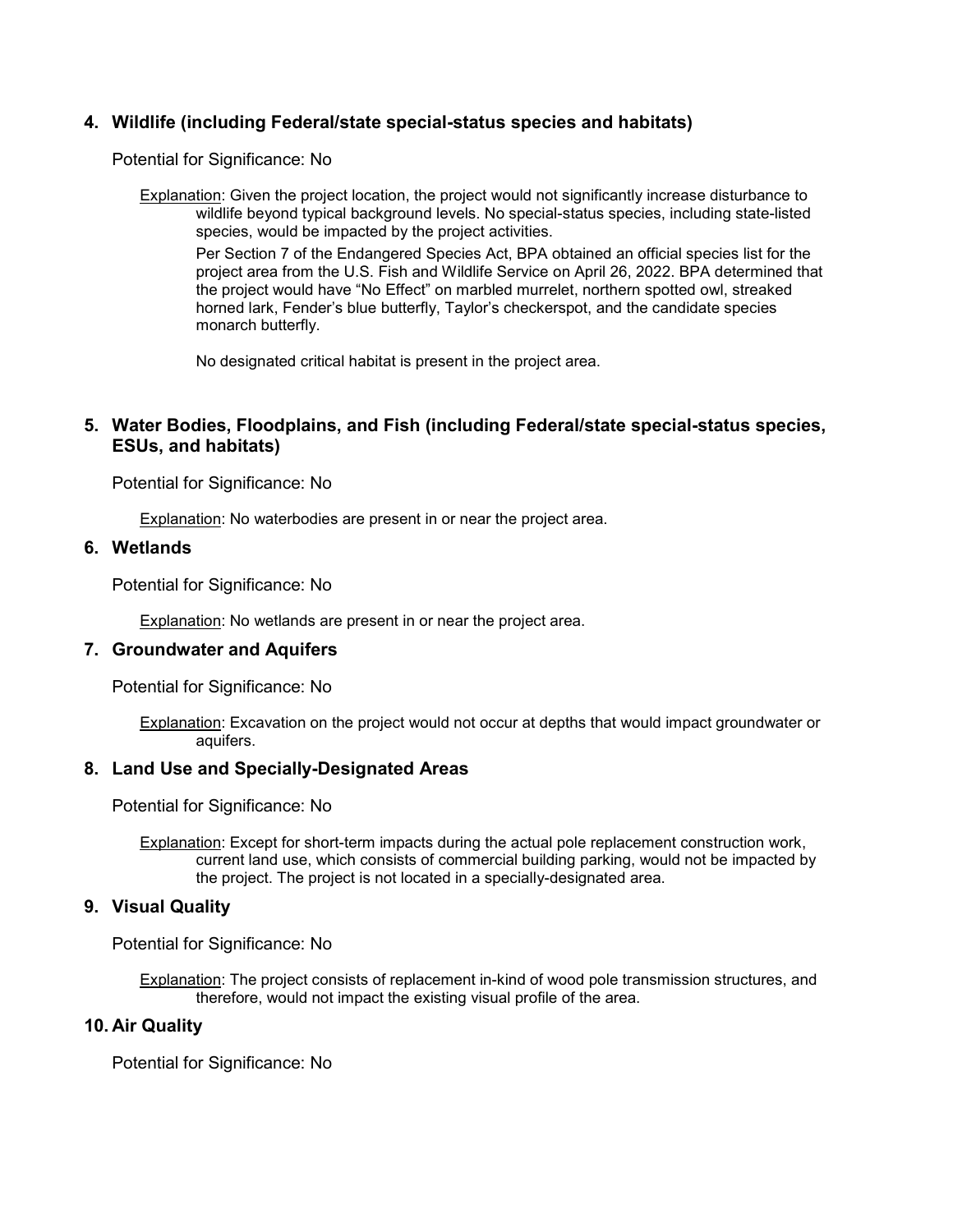## **4. Wildlife (including Federal/state special-status species and habitats)**

Potential for Significance: No

Explanation: Given the project location, the project would not significantly increase disturbance to wildlife beyond typical background levels. No special-status species, including state-listed species, would be impacted by the project activities.

Per Section 7 of the Endangered Species Act, BPA obtained an official species list for the project area from the U.S. Fish and Wildlife Service on April 26, 2022. BPA determined that the project would have "No Effect" on marbled murrelet, northern spotted owl, streaked horned lark, Fender's blue butterfly, Taylor's checkerspot, and the candidate species monarch butterfly.

No designated critical habitat is present in the project area.

## **5. Water Bodies, Floodplains, and Fish (including Federal/state special-status species, ESUs, and habitats)**

Potential for Significance: No

Explanation: No waterbodies are present in or near the project area.

## **6. Wetlands**

Potential for Significance: No

Explanation: No wetlands are present in or near the project area.

## **7. Groundwater and Aquifers**

Potential for Significance: No

Explanation: Excavation on the project would not occur at depths that would impact groundwater or aquifers.

#### **8. Land Use and Specially-Designated Areas**

Potential for Significance: No

Explanation: Except for short-term impacts during the actual pole replacement construction work, current land use, which consists of commercial building parking, would not be impacted by the project. The project is not located in a specially-designated area.

## **9. Visual Quality**

Potential for Significance: No

Explanation: The project consists of replacement in-kind of wood pole transmission structures, and therefore, would not impact the existing visual profile of the area.

#### **10. Air Quality**

Potential for Significance: No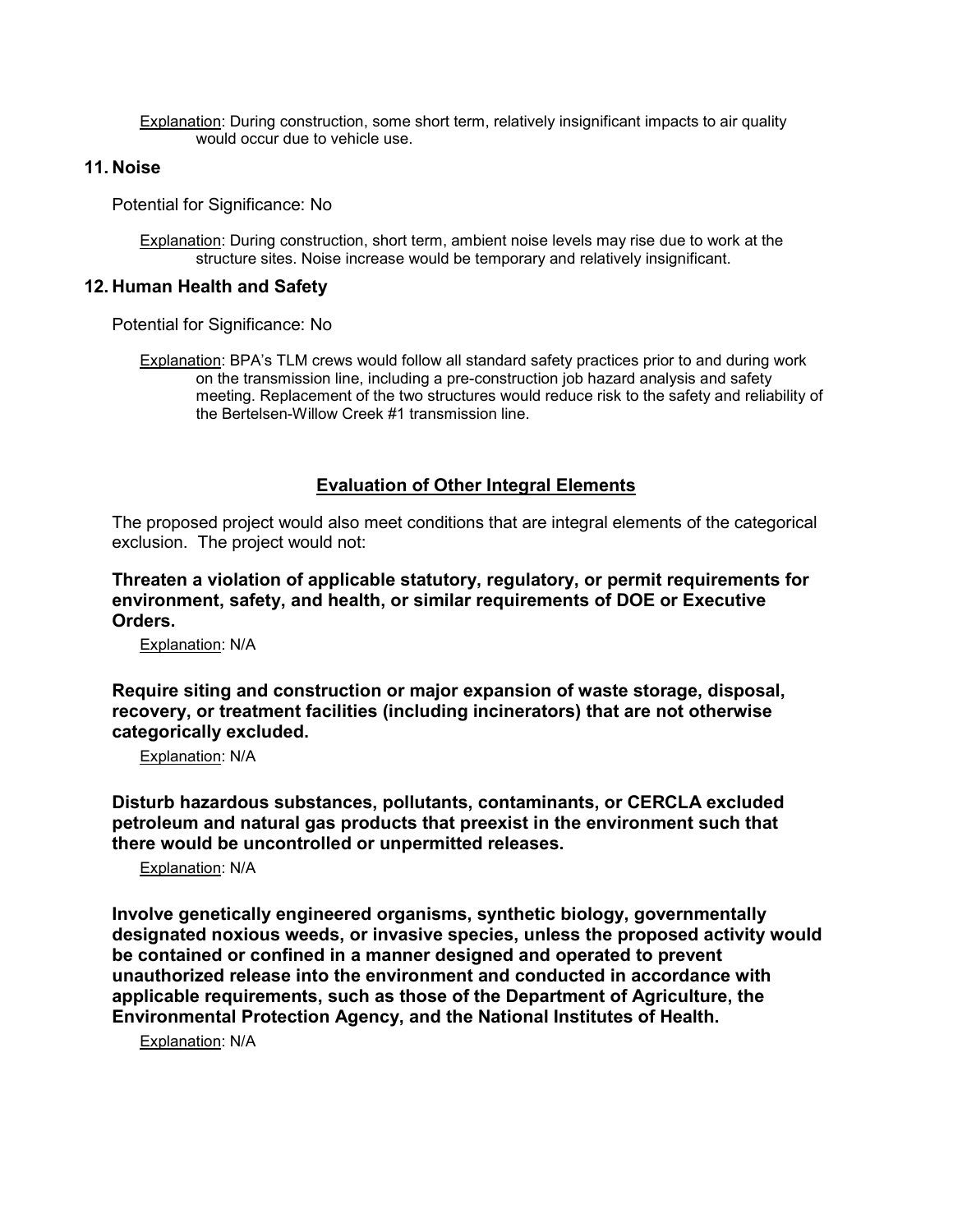Explanation: During construction, some short term, relatively insignificant impacts to air quality would occur due to vehicle use.

#### **11. Noise**

Potential for Significance: No

Explanation: During construction, short term, ambient noise levels may rise due to work at the structure sites. Noise increase would be temporary and relatively insignificant.

#### **12. Human Health and Safety**

Potential for Significance: No

Explanation: BPA's TLM crews would follow all standard safety practices prior to and during work on the transmission line, including a pre-construction job hazard analysis and safety meeting. Replacement of the two structures would reduce risk to the safety and reliability of the Bertelsen-Willow Creek #1 transmission line.

## **Evaluation of Other Integral Elements**

The proposed project would also meet conditions that are integral elements of the categorical exclusion. The project would not:

**Threaten a violation of applicable statutory, regulatory, or permit requirements for environment, safety, and health, or similar requirements of DOE or Executive Orders.**

Explanation: N/A

**Require siting and construction or major expansion of waste storage, disposal, recovery, or treatment facilities (including incinerators) that are not otherwise categorically excluded.**

Explanation: N/A

**Disturb hazardous substances, pollutants, contaminants, or CERCLA excluded petroleum and natural gas products that preexist in the environment such that there would be uncontrolled or unpermitted releases.**

Explanation: N/A

**Involve genetically engineered organisms, synthetic biology, governmentally designated noxious weeds, or invasive species, unless the proposed activity would be contained or confined in a manner designed and operated to prevent unauthorized release into the environment and conducted in accordance with applicable requirements, such as those of the Department of Agriculture, the Environmental Protection Agency, and the National Institutes of Health.**

Explanation: N/A